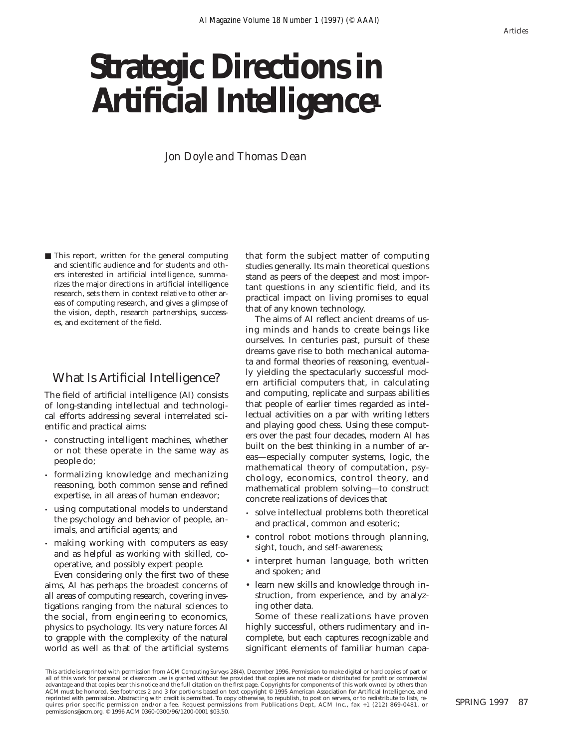# **Strategic Directions in Artificial Intelligence1**

## *Jon Doyle and Thomas Dean*

■ This report, written for the general computing and scientific audience and for students and others interested in artificial intelligence, summarizes the major directions in artificial intelligence research, sets them in context relative to other areas of computing research, and gives a glimpse of the vision, depth, research partnerships, successes, and excitement of the field.

# What Is Artificial Intelligence?

The field of artificial intelligence (AI) consists of long-standing intellectual and technological efforts addressing several interrelated scientific and practical aims:

- constructing intelligent machines, whether or not these operate in the same way as people do;
- formalizing knowledge and mechanizing reasoning, both common sense and refined expertise, in all areas of human endeavor;
- using computational models to understand the psychology and behavior of people, animals, and artificial agents; and
- making working with computers as easy and as helpful as working with skilled, cooperative, and possibly expert people.

Even considering only the first two of these aims, AI has perhaps the broadest concerns of all areas of computing research, covering investigations ranging from the natural sciences to the social, from engineering to economics, physics to psychology. Its very nature forces AI to grapple with the complexity of the natural world as well as that of the artificial systems

that form the subject matter of computing studies generally. Its main theoretical questions stand as peers of the deepest and most important questions in any scientific field, and its practical impact on living promises to equal that of any known technology.

The aims of AI reflect ancient dreams of using minds and hands to create beings like ourselves. In centuries past, pursuit of these dreams gave rise to both mechanical automata and formal theories of reasoning, eventually yielding the spectacularly successful modern artificial computers that, in calculating and computing, replicate and surpass abilities that people of earlier times regarded as intellectual activities on a par with writing letters and playing good chess. Using these computers over the past four decades, modern AI has built on the best thinking in a number of areas—especially computer systems, logic, the mathematical theory of computation, psychology, economics, control theory, and mathematical problem solving—to construct concrete realizations of devices that

- solve intellectual problems both theoretical and practical, common and esoteric;
- control robot motions through planning, sight, touch, and self-awareness;
- interpret human language, both written and spoken; and
- learn new skills and knowledge through instruction, from experience, and by analyzing other data.

Some of these realizations have proven highly successful, others rudimentary and incomplete, but each captures recognizable and significant elements of familiar human capa-

This article is reprinted with permission from *ACM Computing Surveys* 28(4), December 1996. Permission to make digital or hard copies of part or all of this work for personal or classroom use is granted without fee provided that copies are not made or distributed for profit or commercial advantage and that copies bear this notice and the full citation on the first page. Copyrights for components of this work owned by others than<br>ACM must be honored. See footnotes 2 and 3 for portions based on text copyrig reprinted with permission. Abstracting with credit is permitted. To copy otherwise, to republish, to post on servers, or to redistribute to lists, requires prior specific permission and/or a fee. Request permissions from Publications Dept, ACM Inc., fax +1 (212) 869-0481, or permissions@acm.org. © 1996 ACM 0360-0300/96/1200-0001 \$03.50.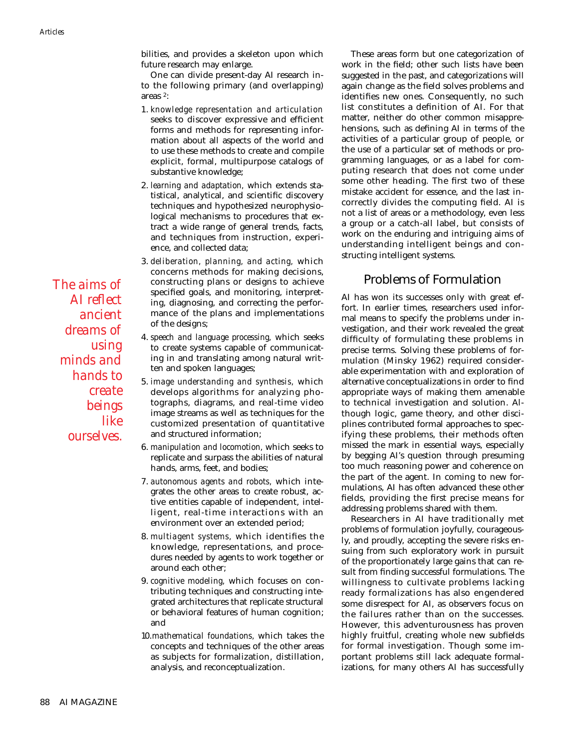bilities, and provides a skeleton upon which future research may enlarge.

One can divide present-day AI research into the following primary (and overlapping) areas 2:

- 1. *knowledge representation and articulation* seeks to discover expressive and efficient forms and methods for representing information about all aspects of the world and to use these methods to create and compile explicit, formal, multipurpose catalogs of substantive knowledge;
- 2. *learning and adaptation,* which extends statistical, analytical, and scientific discovery techniques and hypothesized neurophysiological mechanisms to procedures that extract a wide range of general trends, facts, and techniques from instruction, experience, and collected data;
- 3. *deliberation, planning, and acting,* which concerns methods for making decisions, constructing plans or designs to achieve specified goals, and monitoring, interpreting, diagnosing, and correcting the performance of the plans and implementations of the designs;
- 4. *speech and language processing,* which seeks to create systems capable of communicating in and translating among natural written and spoken languages;
- 5. *image understanding and synthesis,* which develops algorithms for analyzing photographs, diagrams, and real-time video image streams as well as techniques for the customized presentation of quantitative and structured information;
- 6. *manipulation and locomotion,* which seeks to replicate and surpass the abilities of natural hands, arms, feet, and bodies;
- 7. *autonomous agents and robots,* which integrates the other areas to create robust, active entities capable of independent, intelligent, real-time interactions with an environment over an extended period;
- 8. *multiagent systems,* which identifies the knowledge, representations, and procedures needed by agents to work together or around each other;
- 9. *cognitive modeling,* which focuses on contributing techniques and constructing integrated architectures that replicate structural or behavioral features of human cognition; and
- 10.*mathematical foundations,* which takes the concepts and techniques of the other areas as subjects for formalization, distillation, analysis, and reconceptualization.

These areas form but one categorization of work in the field; other such lists have been suggested in the past, and categorizations will again change as the field solves problems and identifies new ones. Consequently, no such list constitutes a definition of AI. For that matter, neither do other common misapprehensions, such as defining AI in terms of the activities of a particular group of people, or the use of a particular set of methods or programming languages, or as a label for computing research that does not come under some other heading. The first two of these mistake accident for essence, and the last incorrectly divides the computing field. AI is not a list of areas or a methodology, even less a group or a catch-all label, but consists of work on the enduring and intriguing aims of understanding intelligent beings and constructing intelligent systems.

## Problems of Formulation

AI has won its successes only with great effort. In earlier times, researchers used informal means to specify the problems under investigation, and their work revealed the great difficulty of formulating these problems in precise terms. Solving these problems of formulation (Minsky 1962) required considerable experimentation with and exploration of alternative conceptualizations in order to find appropriate ways of making them amenable to technical investigation and solution. Although logic, game theory, and other disciplines contributed formal approaches to specifying these problems, their methods often missed the mark in essential ways, especially by begging AI's question through presuming too much reasoning power and coherence on the part of the agent. In coming to new formulations, AI has often advanced these other fields, providing the first precise means for addressing problems shared with them.

Researchers in AI have traditionally met problems of formulation joyfully, courageously, and proudly, accepting the severe risks ensuing from such exploratory work in pursuit of the proportionately large gains that can result from finding successful formulations. The willingness to cultivate problems lacking ready formalizations has also engendered some disrespect for AI, as observers focus on the failures rather than on the successes. However, this adventurousness has proven highly fruitful, creating whole new subfields for formal investigation. Though some important problems still lack adequate formalizations, for many others AI has successfully

*The aims of AI reflect ancient dreams of using minds and hands to create beings like ourselves.*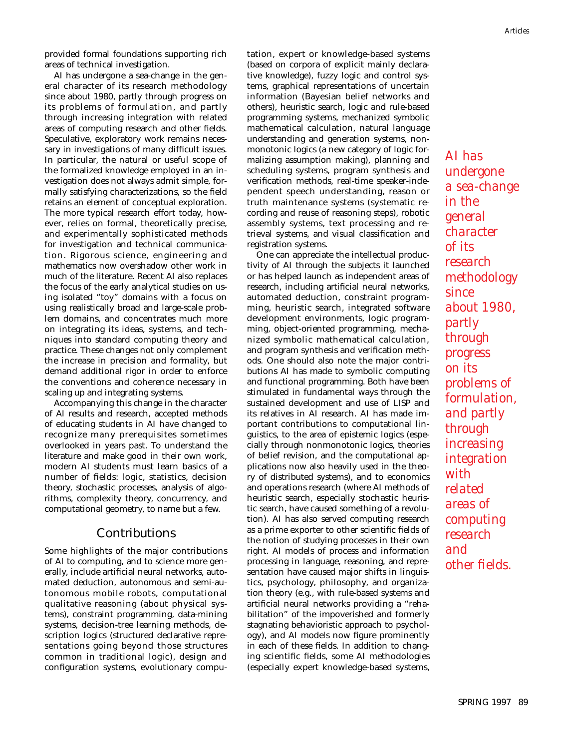AI has undergone a sea-change in the general character of its research methodology since about 1980, partly through progress on its problems of formulation, and partly through increasing integration with related areas of computing research and other fields. Speculative, exploratory work remains necessary in investigations of many difficult issues. In particular, the natural or useful scope of the formalized knowledge employed in an investigation does not always admit simple, formally satisfying characterizations, so the field retains an element of conceptual exploration. The more typical research effort today, however, relies on formal, theoretically precise, and experimentally sophisticated methods for investigation and technical communication. Rigorous science, engineering and mathematics now overshadow other work in much of the literature. Recent AI also replaces the focus of the early analytical studies on using isolated "toy" domains with a focus on using realistically broad and large-scale problem domains, and concentrates much more on integrating its ideas, systems, and techniques into standard computing theory and practice. These changes not only complement the increase in precision and formality, but demand additional rigor in order to enforce the conventions and coherence necessary in scaling up and integrating systems.

Accompanying this change in the character of AI results and research, accepted methods of educating students in AI have changed to recognize many prerequisites sometimes overlooked in years past. To understand the literature and make good in their own work, modern AI students must learn basics of a number of fields: logic, statistics, decision theory, stochastic processes, analysis of algorithms, complexity theory, concurrency, and computational geometry, to name but a few.

#### Contributions

Some highlights of the major contributions of AI to computing, and to science more generally, include artificial neural networks, automated deduction, autonomous and semi-autonomous mobile robots, computational qualitative reasoning (about physical systems), constraint programming, data-mining systems, decision-tree learning methods, description logics (structured declarative representations going beyond those structures common in traditional logic), design and configuration systems, evolutionary compu-

tation, expert or knowledge-based systems (based on corpora of explicit mainly declarative knowledge), fuzzy logic and control systems, graphical representations of uncertain information (Bayesian belief networks and others), heuristic search, logic and rule-based programming systems, mechanized symbolic mathematical calculation, natural language understanding and generation systems, nonmonotonic logics (a new category of logic formalizing assumption making), planning and scheduling systems, program synthesis and verification methods, real-time speaker-independent speech understanding, reason or truth maintenance systems (systematic recording and reuse of reasoning steps), robotic assembly systems, text processing and retrieval systems, and visual classification and registration systems.

One can appreciate the intellectual productivity of AI through the subjects it launched or has helped launch as independent areas of research, including artificial neural networks, automated deduction, constraint programming, heuristic search, integrated software development environments, logic programming, object-oriented programming, mechanized symbolic mathematical calculation, and program synthesis and verification methods. One should also note the major contributions AI has made to symbolic computing and functional programming. Both have been stimulated in fundamental ways through the sustained development and use of LISP and its relatives in AI research. AI has made important contributions to computational linguistics, to the area of epistemic logics (especially through nonmonotonic logics, theories of belief revision, and the computational applications now also heavily used in the theory of distributed systems), and to economics and operations research (where AI methods of heuristic search, especially stochastic heuristic search, have caused something of a revolution). AI has also served computing research as a prime exporter to other scientific fields of the notion of studying processes in their own right. AI models of process and information processing in language, reasoning, and representation have caused major shifts in linguistics, psychology, philosophy, and organization theory (e.g., with rule-based systems and artificial neural networks providing a "rehabilitation" of the impoverished and formerly stagnating behavioristic approach to psychology), and AI models now figure prominently in each of these fields. In addition to changing scientific fields, some AI methodologies (especially expert knowledge-based systems, *AI has undergone a sea-change in the general character of its research methodology since about 1980, partly through progress on its problems of formulation, and partly through increasing integration with related areas of computing research and other fields.*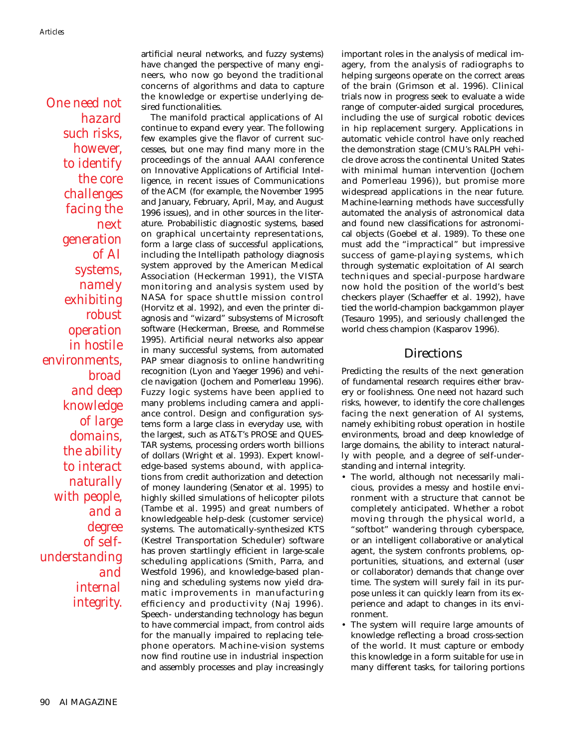*One need not hazard such risks, however, to identify the core challenges facing the next generation of AI systems, namely exhibiting robust operation in hostile environments, broad and deep knowledge of large domains, the ability to interact naturally with people, and a degree of selfunderstanding and internal integrity.*

artificial neural networks, and fuzzy systems) have changed the perspective of many engineers, who now go beyond the traditional concerns of algorithms and data to capture the knowledge or expertise underlying desired functionalities.

The manifold practical applications of AI continue to expand every year. The following few examples give the flavor of current successes, but one may find many more in the proceedings of the annual AAAI conference on Innovative Applications of Artificial Intelligence, in recent issues of Communications of the ACM (for example, the November 1995 and January, February, April, May, and August 1996 issues), and in other sources in the literature. Probabilistic diagnostic systems, based on graphical uncertainty representations, form a large class of successful applications, including the Intellipath pathology diagnosis system approved by the American Medical Association (Heckerman 1991), the VISTA monitoring and analysis system used by NASA for space shuttle mission control (Horvitz et al. 1992), and even the printer diagnosis and "wizard" subsystems of Microsoft software (Heckerman, Breese, and Rommelse 1995). Artificial neural networks also appear in many successful systems, from automated PAP smear diagnosis to online handwriting recognition (Lyon and Yaeger 1996) and vehicle navigation (Jochem and Pomerleau 1996). Fuzzy logic systems have been applied to many problems including camera and appliance control. Design and configuration systems form a large class in everyday use, with the largest, such as AT&T's PROSE and QUES-TAR systems, processing orders worth billions of dollars (Wright et al. 1993). Expert knowledge-based systems abound, with applications from credit authorization and detection of money laundering (Senator et al. 1995) to highly skilled simulations of helicopter pilots (Tambe et al. 1995) and great numbers of knowledgeable help-desk (customer service) systems. The automatically-synthesized KTS (Kestrel Transportation Scheduler) software has proven startlingly efficient in large-scale scheduling applications (Smith, Parra, and Westfold 1996), and knowledge-based planning and scheduling systems now yield dramatic improvements in manufacturing efficiency and productivity (Naj 1996). Speech- understanding technology has begun to have commercial impact, from control aids for the manually impaired to replacing telephone operators. Machine-vision systems now find routine use in industrial inspection and assembly processes and play increasingly

important roles in the analysis of medical imagery, from the analysis of radiographs to helping surgeons operate on the correct areas of the brain (Grimson et al. 1996). Clinical trials now in progress seek to evaluate a wide range of computer-aided surgical procedures, including the use of surgical robotic devices in hip replacement surgery. Applications in automatic vehicle control have only reached the demonstration stage (CMU's RALPH vehicle drove across the continental United States with minimal human intervention (Jochem and Pomerleau 1996)), but promise more widespread applications in the near future. Machine-learning methods have successfully automated the analysis of astronomical data and found new classifications for astronomical objects (Goebel et al. 1989). To these one must add the "impractical" but impressive success of game-playing systems, which through systematic exploitation of AI search techniques and special-purpose hardware now hold the position of the world's best checkers player (Schaeffer et al. 1992), have tied the world-champion backgammon player (Tesauro 1995), and seriously challenged the world chess champion (Kasparov 1996).

### **Directions**

Predicting the results of the next generation of fundamental research requires either bravery or foolishness. One need not hazard such risks, however, to identify the core challenges facing the next generation of AI systems, namely exhibiting robust operation in hostile environments, broad and deep knowledge of large domains, the ability to interact naturally with people, and a degree of self-understanding and internal integrity.

- The world, although not necessarily malicious, provides a messy and hostile environment with a structure that cannot be completely anticipated. Whether a robot moving through the physical world, a "softbot" wandering through cyberspace, or an intelligent collaborative or analytical agent, the system confronts problems, opportunities, situations, and external (user or collaborator) demands that change over time. The system will surely fail in its purpose unless it can quickly learn from its experience and adapt to changes in its environment.
- The system will require large amounts of knowledge reflecting a broad cross-section of the world. It must capture or embody this knowledge in a form suitable for use in many different tasks, for tailoring portions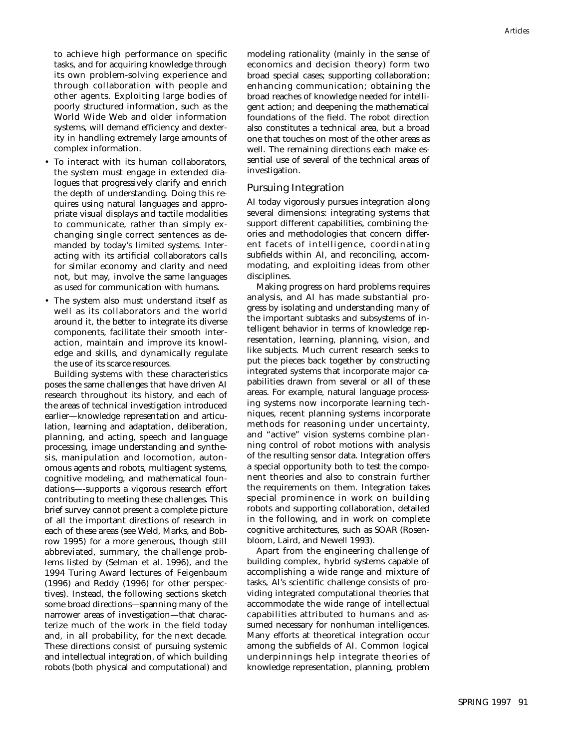to achieve high performance on specific tasks, and for acquiring knowledge through its own problem-solving experience and through collaboration with people and other agents. Exploiting large bodies of poorly structured information, such as the World Wide Web and older information systems, will demand efficiency and dexterity in handling extremely large amounts of complex information.

- To interact with its human collaborators, the system must engage in extended dialogues that progressively clarify and enrich the depth of understanding. Doing this requires using natural languages and appropriate visual displays and tactile modalities to communicate, rather than simply exchanging single correct sentences as demanded by today's limited systems. Interacting with its artificial collaborators calls for similar economy and clarity and need not, but may, involve the same languages as used for communication with humans.
- The system also must understand itself as well as its collaborators and the world around it, the better to integrate its diverse components, facilitate their smooth interaction, maintain and improve its knowledge and skills, and dynamically regulate the use of its scarce resources.

Building systems with these characteristics poses the same challenges that have driven AI research throughout its history, and each of the areas of technical investigation introduced earlier—knowledge representation and articulation, learning and adaptation, deliberation, planning, and acting, speech and language processing, image understanding and synthesis, manipulation and locomotion, autonomous agents and robots, multiagent systems, cognitive modeling, and mathematical foundations—-supports a vigorous research effort contributing to meeting these challenges. This brief survey cannot present a complete picture of all the important directions of research in each of these areas (see Weld, Marks, and Bobrow 1995) for a more generous, though still abbreviated, summary, the challenge problems listed by (Selman et al. 1996), and the 1994 Turing Award lectures of Feigenbaum (1996) and Reddy (1996) for other perspectives). Instead, the following sections sketch some broad directions—spanning many of the narrower areas of investigation—that characterize much of the work in the field today and, in all probability, for the next decade. These directions consist of pursuing systemic and intellectual integration, of which building robots (both physical and computational) and

modeling rationality (mainly in the sense of economics and decision theory) form two broad special cases; supporting collaboration; enhancing communication; obtaining the broad reaches of knowledge needed for intelligent action; and deepening the mathematical foundations of the field. The robot direction also constitutes a technical area, but a broad one that touches on most of the other areas as well. The remaining directions each make essential use of several of the technical areas of investigation.

#### Pursuing Integration

AI today vigorously pursues integration along several dimensions: integrating systems that support different capabilities, combining theories and methodologies that concern different facets of intelligence, coordinating subfields within AI, and reconciling, accommodating, and exploiting ideas from other disciplines.

Making progress on hard problems requires analysis, and AI has made substantial progress by isolating and understanding many of the important subtasks and subsystems of intelligent behavior in terms of knowledge representation, learning, planning, vision, and like subjects. Much current research seeks to put the pieces back together by constructing integrated systems that incorporate major capabilities drawn from several or all of these areas. For example, natural language processing systems now incorporate learning techniques, recent planning systems incorporate methods for reasoning under uncertainty, and "active" vision systems combine planning control of robot motions with analysis of the resulting sensor data. Integration offers a special opportunity both to test the component theories and also to constrain further the requirements on them. Integration takes special prominence in work on building robots and supporting collaboration, detailed in the following, and in work on complete cognitive architectures, such as SOAR (Rosenbloom, Laird, and Newell 1993).

Apart from the engineering challenge of building complex, hybrid systems capable of accomplishing a wide range and mixture of tasks, AI's scientific challenge consists of providing integrated computational theories that accommodate the wide range of intellectual capabilities attributed to humans and assumed necessary for nonhuman intelligences. Many efforts at theoretical integration occur among the subfields of AI. Common logical underpinnings help integrate theories of knowledge representation, planning, problem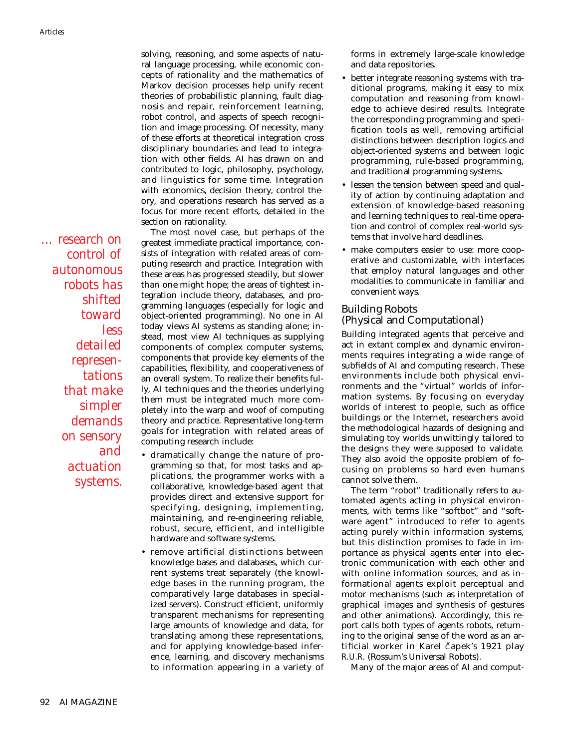solving, reasoning, and some aspects of natural language processing, while economic concepts of rationality and the mathematics of Markov decision processes help unify recent theories of probabilistic planning, fault diagnosis and repair, reinforcement learning, robot control, and aspects of speech recognition and image processing. Of necessity, many of these efforts at theoretical integration cross disciplinary boundaries and lead to integration with other fields. AI has drawn on and contributed to logic, philosophy, psychology, and linguistics for some time. Integration with economics, decision theory, control theory, and operations research has served as a focus for more recent efforts, detailed in the section on rationality.

*… research on control of autonomous robots has shifted toward less detailed representations that make simpler demands on sensory and actuation systems.* 

The most novel case, but perhaps of the greatest immediate practical importance, consists of integration with related areas of computing research and practice. Integration with these areas has progressed steadily, but slower than one might hope; the areas of tightest integration include theory, databases, and programming languages (especially for logic and object-oriented programming). No one in AI today views AI systems as standing alone; instead, most view AI techniques as supplying components of complex computer systems, components that provide key elements of the capabilities, flexibility, and cooperativeness of an overall system. To realize their benefits fully, AI techniques and the theories underlying them must be integrated much more completely into the warp and woof of computing theory and practice. Representative long-term goals for integration with related areas of computing research include:

- dramatically change the nature of programming so that, for most tasks and applications, the programmer works with a collaborative, knowledge-based agent that provides direct and extensive support for specifying, designing, implementing, maintaining, and re-engineering reliable, robust, secure, efficient, and intelligible hardware and software systems.
- remove artificial distinctions between knowledge bases and databases, which current systems treat separately (the knowledge bases in the running program, the comparatively large databases in specialized servers). Construct efficient, uniformly transparent mechanisms for representing large amounts of knowledge and data, for translating among these representations, and for applying knowledge-based inference, learning, and discovery mechanisms to information appearing in a variety of

forms in extremely large-scale knowledge and data repositories.

- better integrate reasoning systems with traditional programs, making it easy to mix computation and reasoning from knowledge to achieve desired results. Integrate the corresponding programming and specification tools as well, removing artificial distinctions between description logics and object-oriented systems and between logic programming, rule-based programming, and traditional programming systems.
- lessen the tension between speed and quality of action by continuing adaptation and extension of knowledge-based reasoning and learning techniques to real-time operation and control of complex real-world systems that involve hard deadlines.
- make computers easier to use: more cooperative and customizable, with interfaces that employ natural languages and other modalities to communicate in familiar and convenient ways.

#### Building Robots (Physical and Computational)

Building integrated agents that perceive and act in extant complex and dynamic environments requires integrating a wide range of subfields of AI and computing research. These environments include both physical environments and the "virtual" worlds of information systems. By focusing on everyday worlds of interest to people, such as office buildings or the Internet, researchers avoid the methodological hazards of designing and simulating toy worlds unwittingly tailored to the designs they were supposed to validate. They also avoid the opposite problem of focusing on problems so hard even humans cannot solve them.

The term "robot" traditionally refers to automated agents acting in physical environments, with terms like "softbot" and "software agent" introduced to refer to agents acting purely within information systems, but this distinction promises to fade in importance as physical agents enter into electronic communication with each other and with online information sources, and as informational agents exploit perceptual and motor mechanisms (such as interpretation of graphical images and synthesis of gestures and other animations). Accordingly, this report calls both types of agents robots, returning to the original sense of the word as an artificial worker in Karel Capek's 1921 play *R.U.R.* (Rossum's Universal Robots).

Many of the major areas of AI and comput-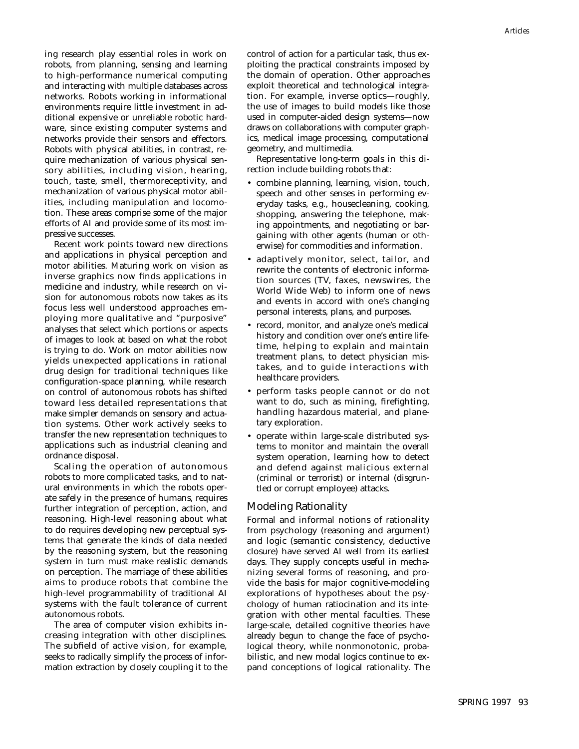ing research play essential roles in work on robots, from planning, sensing and learning to high-performance numerical computing and interacting with multiple databases across networks. Robots working in informational environments require little investment in additional expensive or unreliable robotic hardware, since existing computer systems and networks provide their sensors and effectors. Robots with physical abilities, in contrast, require mechanization of various physical sensory abilities, including vision, hearing, touch, taste, smell, thermoreceptivity, and mechanization of various physical motor abilities, including manipulation and locomotion. These areas comprise some of the major efforts of AI and provide some of its most impressive successes.

Recent work points toward new directions and applications in physical perception and motor abilities. Maturing work on vision as inverse graphics now finds applications in medicine and industry, while research on vision for autonomous robots now takes as its focus less well understood approaches employing more qualitative and "purposive" analyses that select which portions or aspects of images to look at based on what the robot is trying to do. Work on motor abilities now yields unexpected applications in rational drug design for traditional techniques like configuration-space planning, while research on control of autonomous robots has shifted toward less detailed representations that make simpler demands on sensory and actuation systems. Other work actively seeks to transfer the new representation techniques to applications such as industrial cleaning and ordnance disposal.

Scaling the operation of autonomous robots to more complicated tasks, and to natural environments in which the robots operate safely in the presence of humans, requires further integration of perception, action, and reasoning. High-level reasoning about what to do requires developing new perceptual systems that generate the kinds of data needed by the reasoning system, but the reasoning system in turn must make realistic demands on perception. The marriage of these abilities aims to produce robots that combine the high-level programmability of traditional AI systems with the fault tolerance of current autonomous robots.

The area of computer vision exhibits increasing integration with other disciplines. The subfield of active vision, for example, seeks to radically simplify the process of information extraction by closely coupling it to the control of action for a particular task, thus exploiting the practical constraints imposed by the domain of operation. Other approaches exploit theoretical and technological integration. For example, inverse optics—roughly, the use of images to build models like those used in computer-aided design systems—now draws on collaborations with computer graphics, medical image processing, computational geometry, and multimedia.

Representative long-term goals in this direction include building robots that:

- combine planning, learning, vision, touch, speech and other senses in performing everyday tasks, e.g., housecleaning, cooking, shopping, answering the telephone, making appointments, and negotiating or bargaining with other agents (human or otherwise) for commodities and information.
- adaptively monitor, select, tailor, and rewrite the contents of electronic information sources (TV, faxes, newswires, the World Wide Web) to inform one of news and events in accord with one's changing personal interests, plans, and purposes.
- record, monitor, and analyze one's medical history and condition over one's entire lifetime, helping to explain and maintain treatment plans, to detect physician mistakes, and to guide interactions with healthcare providers.
- perform tasks people cannot or do not want to do, such as mining, firefighting, handling hazardous material, and planetary exploration.
- operate within large-scale distributed systems to monitor and maintain the overall system operation, learning how to detect and defend against malicious external (criminal or terrorist) or internal (disgruntled or corrupt employee) attacks.

#### Modeling Rationality

Formal and informal notions of rationality from psychology (reasoning and argument) and logic (semantic consistency, deductive closure) have served AI well from its earliest days. They supply concepts useful in mechanizing several forms of reasoning, and provide the basis for major cognitive-modeling explorations of hypotheses about the psychology of human ratiocination and its integration with other mental faculties. These large-scale, detailed cognitive theories have already begun to change the face of psychological theory, while nonmonotonic, probabilistic, and new modal logics continue to expand conceptions of logical rationality. The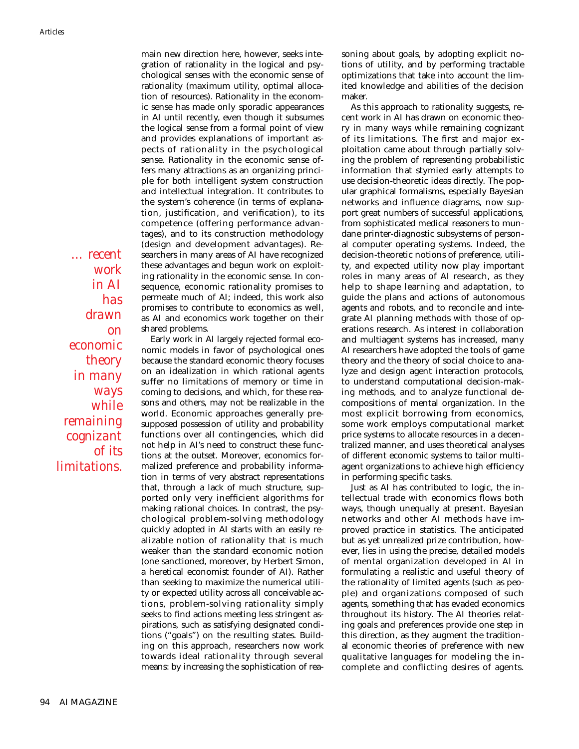*… recent work in AI has drawn on economic theory in many ways while remaining cognizant of its limitations.*

main new direction here, however, seeks integration of rationality in the logical and psychological senses with the economic sense of rationality (maximum utility, optimal allocation of resources). Rationality in the economic sense has made only sporadic appearances in AI until recently, even though it subsumes the logical sense from a formal point of view and provides explanations of important aspects of rationality in the psychological sense. Rationality in the economic sense offers many attractions as an organizing principle for both intelligent system construction and intellectual integration. It contributes to the system's coherence (in terms of explanation, justification, and verification), to its competence (offering performance advantages), and to its construction methodology (design and development advantages). Researchers in many areas of AI have recognized these advantages and begun work on exploiting rationality in the economic sense. In consequence, economic rationality promises to permeate much of AI; indeed, this work also promises to contribute to economics as well, as AI and economics work together on their shared problems.

Early work in AI largely rejected formal economic models in favor of psychological ones because the standard economic theory focuses on an idealization in which rational agents suffer no limitations of memory or time in coming to decisions, and which, for these reasons and others, may not be realizable in the world. Economic approaches generally presupposed possession of utility and probability functions over all contingencies, which did not help in AI's need to construct these functions at the outset. Moreover, economics formalized preference and probability information in terms of very abstract representations that, through a lack of much structure, supported only very inefficient algorithms for making rational choices. In contrast, the psychological problem-solving methodology quickly adopted in AI starts with an easily realizable notion of rationality that is much weaker than the standard economic notion (one sanctioned, moreover, by Herbert Simon, a heretical economist founder of AI). Rather than seeking to maximize the numerical utility or expected utility across all conceivable actions, problem-solving rationality simply seeks to find actions meeting less stringent aspirations, such as satisfying designated conditions ("goals") on the resulting states. Building on this approach, researchers now work towards ideal rationality through several means: by increasing the sophistication of reasoning about goals, by adopting explicit notions of utility, and by performing tractable optimizations that take into account the limited knowledge and abilities of the decision maker.

As this approach to rationality suggests, recent work in AI has drawn on economic theory in many ways while remaining cognizant of its limitations. The first and major exploitation came about through partially solving the problem of representing probabilistic information that stymied early attempts to use decision-theoretic ideas directly. The popular graphical formalisms, especially Bayesian networks and influence diagrams, now support great numbers of successful applications, from sophisticated medical reasoners to mundane printer-diagnostic subsystems of personal computer operating systems. Indeed, the decision-theoretic notions of preference, utility, and expected utility now play important roles in many areas of AI research, as they help to shape learning and adaptation, to guide the plans and actions of autonomous agents and robots, and to reconcile and integrate AI planning methods with those of operations research. As interest in collaboration and multiagent systems has increased, many AI researchers have adopted the tools of game theory and the theory of social choice to analyze and design agent interaction protocols, to understand computational decision-making methods, and to analyze functional decompositions of mental organization. In the most explicit borrowing from economics, some work employs computational market price systems to allocate resources in a decentralized manner, and uses theoretical analyses of different economic systems to tailor multiagent organizations to achieve high efficiency in performing specific tasks.

Just as AI has contributed to logic, the intellectual trade with economics flows both ways, though unequally at present. Bayesian networks and other AI methods have improved practice in statistics. The anticipated but as yet unrealized prize contribution, however, lies in using the precise, detailed models of mental organization developed in AI in formulating a realistic and useful theory of the rationality of limited agents (such as people) and organizations composed of such agents, something that has evaded economics throughout its history. The AI theories relating goals and preferences provide one step in this direction, as they augment the traditional economic theories of preference with new qualitative languages for modeling the incomplete and conflicting desires of agents.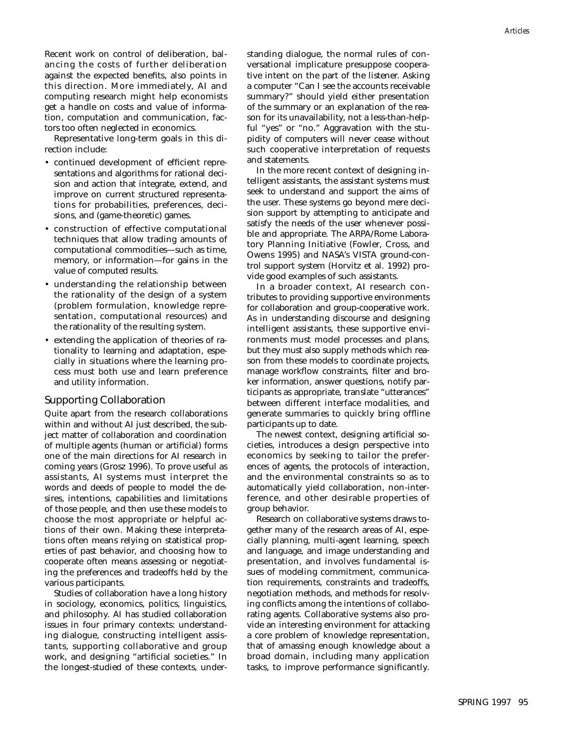Recent work on control of deliberation, balancing the costs of further deliberation against the expected benefits, also points in this direction. More immediately, AI and computing research might help economists get a handle on costs and value of information, computation and communication, factors too often neglected in economics.

Representative long-term goals in this direction include:

- continued development of efficient representations and algorithms for rational decision and action that integrate, extend, and improve on current structured representations for probabilities, preferences, decisions, and (game-theoretic) games.
- construction of effective computational techniques that allow trading amounts of computational commodities—such as time, memory, or information—for gains in the value of computed results.
- understanding the relationship between the rationality of the design of a system (problem formulation, knowledge representation, computational resources) and the rationality of the resulting system.
- extending the application of theories of rationality to learning and adaptation, especially in situations where the learning process must both use and learn preference and utility information.

#### Supporting Collaboration

Quite apart from the research collaborations within and without AI just described, the subject matter of collaboration and coordination of multiple agents (human or artificial) forms one of the main directions for AI research in coming years (Grosz 1996). To prove useful as assistants, AI systems must interpret the words and deeds of people to model the desires, intentions, capabilities and limitations of those people, and then use these models to choose the most appropriate or helpful actions of their own. Making these interpretations often means relying on statistical properties of past behavior, and choosing how to cooperate often means assessing or negotiating the preferences and tradeoffs held by the various participants.

Studies of collaboration have a long history in sociology, economics, politics, linguistics, and philosophy. AI has studied collaboration issues in four primary contexts: understanding dialogue, constructing intelligent assistants, supporting collaborative and group work, and designing "artificial societies." In the longest-studied of these contexts, understanding dialogue, the normal rules of conversational implicature presuppose cooperative intent on the part of the listener. Asking a computer "Can I see the accounts receivable summary?" should yield either presentation of the summary or an explanation of the reason for its unavailability, not a less-than-helpful "yes" or "no." Aggravation with the stupidity of computers will never cease without such cooperative interpretation of requests and statements.

In the more recent context of designing intelligent assistants, the assistant systems must seek to understand and support the aims of the user. These systems go beyond mere decision support by attempting to anticipate and satisfy the needs of the user whenever possible and appropriate. The ARPA/Rome Laboratory Planning Initiative (Fowler, Cross, and Owens 1995) and NASA's VISTA ground-control support system (Horvitz et al. 1992) provide good examples of such assistants.

In a broader context, AI research contributes to providing supportive environments for collaboration and group-cooperative work. As in understanding discourse and designing intelligent assistants, these supportive environments must model processes and plans, but they must also supply methods which reason from these models to coordinate projects, manage workflow constraints, filter and broker information, answer questions, notify participants as appropriate, translate "utterances" between different interface modalities, and generate summaries to quickly bring offline participants up to date.

The newest context, designing artificial societies, introduces a design perspective into economics by seeking to tailor the preferences of agents, the protocols of interaction, and the environmental constraints so as to automatically yield collaboration, non-interference, and other desirable properties of group behavior.

Research on collaborative systems draws together many of the research areas of AI, especially planning, multi-agent learning, speech and language, and image understanding and presentation, and involves fundamental issues of modeling commitment, communication requirements, constraints and tradeoffs, negotiation methods, and methods for resolving conflicts among the intentions of collaborating agents. Collaborative systems also provide an interesting environment for attacking a core problem of knowledge representation, that of amassing enough knowledge about a broad domain, including many application tasks, to improve performance significantly.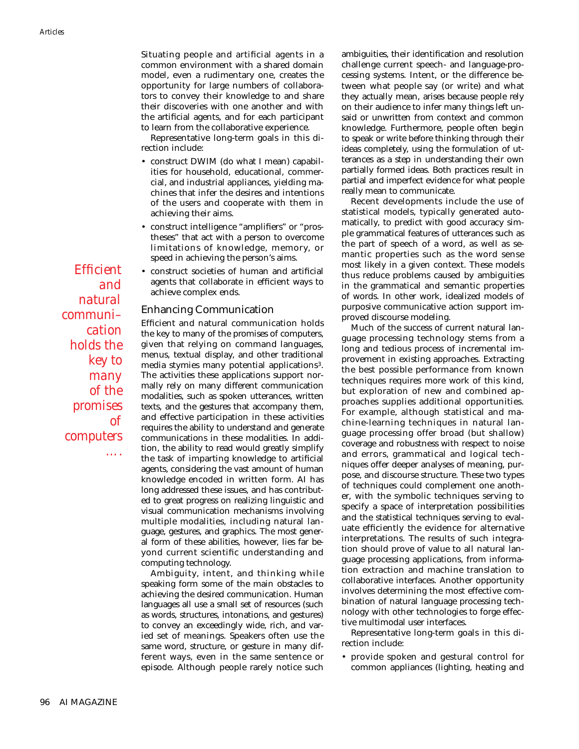Situating people and artificial agents in a common environment with a shared domain model, even a rudimentary one, creates the opportunity for large numbers of collaborators to convey their knowledge to and share their discoveries with one another and with the artificial agents, and for each participant to learn from the collaborative experience.

Representative long-term goals in this direction include:

- construct DWIM (do what I mean) capabilities for household, educational, commercial, and industrial appliances, yielding machines that infer the desires and intentions of the users and cooperate with them in achieving their aims.
- construct intelligence "amplifiers" or "prostheses" that act with a person to overcome limitations of knowledge, memory, or speed in achieving the person's aims.
- construct societies of human and artificial agents that collaborate in efficient ways to achieve complex ends.

#### Enhancing Communication

Efficient and natural communication holds the key to many of the promises of computers, given that relying on command languages, menus, textual display, and other traditional media stymies many potential applications3. The activities these applications support normally rely on many different communication modalities, such as spoken utterances, written texts, and the gestures that accompany them, and effective participation in these activities requires the ability to understand and generate communications in these modalities. In addition, the ability to read would greatly simplify the task of imparting knowledge to artificial agents, considering the vast amount of human knowledge encoded in written form. AI has long addressed these issues, and has contributed to great progress on realizing linguistic and visual communication mechanisms involving multiple modalities, including natural language, gestures, and graphics. The most general form of these abilities, however, lies far beyond current scientific understanding and computing technology.

Ambiguity, intent, and thinking while speaking form some of the main obstacles to achieving the desired communication. Human languages all use a small set of resources (such as words, structures, intonations, and gestures) to convey an exceedingly wide, rich, and varied set of meanings. Speakers often use the same word, structure, or gesture in many different ways, even in the same sentence or episode. Although people rarely notice such

ambiguities, their identification and resolution challenge current speech- and language-processing systems. Intent, or the difference between what people say (or write) and what they actually mean, arises because people rely on their audience to infer many things left unsaid or unwritten from context and common knowledge. Furthermore, people often begin to speak or write before thinking through their ideas completely, using the formulation of utterances as a step in understanding their own partially formed ideas. Both practices result in partial and imperfect evidence for what people really mean to communicate.

Recent developments include the use of statistical models, typically generated automatically, to predict with good accuracy simple grammatical features of utterances such as the part of speech of a word, as well as semantic properties such as the word sense most likely in a given context. These models thus reduce problems caused by ambiguities in the grammatical and semantic properties of words. In other work, idealized models of purposive communicative action support improved discourse modeling.

Much of the success of current natural language processing technology stems from a long and tedious process of incremental improvement in existing approaches. Extracting the best possible performance from known techniques requires more work of this kind, but exploration of new and combined approaches supplies additional opportunities. For example, although statistical and machine-learning techniques in natural language processing offer broad (but shallow) coverage and robustness with respect to noise and errors, grammatical and logical techniques offer deeper analyses of meaning, purpose, and discourse structure. These two types of techniques could complement one another, with the symbolic techniques serving to specify a space of interpretation possibilities and the statistical techniques serving to evaluate efficiently the evidence for alternative interpretations. The results of such integration should prove of value to all natural language processing applications, from information extraction and machine translation to collaborative interfaces. Another opportunity involves determining the most effective combination of natural language processing technology with other technologies to forge effective multimodal user interfaces.

Representative long-term goals in this direction include:

• provide spoken and gestural control for common appliances (lighting, heating and

*Efficient and natural communi– cation holds the key to many of the promises of computers ….*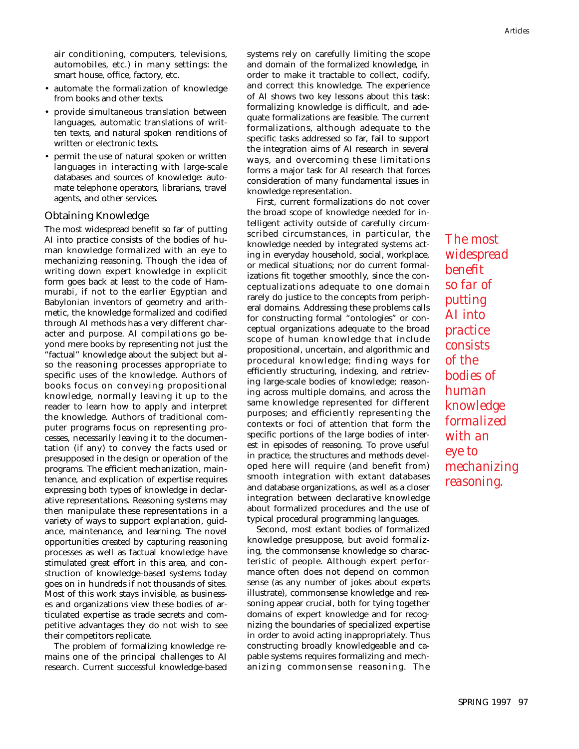air conditioning, computers, televisions, automobiles, etc.) in many settings: the smart house, office, factory, etc.

- automate the formalization of knowledge from books and other texts.
- provide simultaneous translation between languages, automatic translations of written texts, and natural spoken renditions of written or electronic texts.
- permit the use of natural spoken or written languages in interacting with large-scale databases and sources of knowledge: automate telephone operators, librarians, travel agents, and other services.

#### Obtaining Knowledge

The most widespread benefit so far of putting AI into practice consists of the bodies of human knowledge formalized with an eye to mechanizing reasoning. Though the idea of writing down expert knowledge in explicit form goes back at least to the code of Hammurabi, if not to the earlier Egyptian and Babylonian inventors of geometry and arithmetic, the knowledge formalized and codified through AI methods has a very different character and purpose. AI compilations go beyond mere books by representing not just the "factual" knowledge about the subject but also the reasoning processes appropriate to specific uses of the knowledge. Authors of books focus on conveying propositional knowledge, normally leaving it up to the reader to learn how to apply and interpret the knowledge. Authors of traditional computer programs focus on representing processes, necessarily leaving it to the documentation (if any) to convey the facts used or presupposed in the design or operation of the programs. The efficient mechanization, maintenance, and explication of expertise requires expressing both types of knowledge in declarative representations. Reasoning systems may then manipulate these representations in a variety of ways to support explanation, guidance, maintenance, and learning. The novel opportunities created by capturing reasoning processes as well as factual knowledge have stimulated great effort in this area, and construction of knowledge-based systems today goes on in hundreds if not thousands of sites. Most of this work stays invisible, as businesses and organizations view these bodies of articulated expertise as trade secrets and competitive advantages they do not wish to see their competitors replicate.

The problem of formalizing knowledge remains one of the principal challenges to AI research. Current successful knowledge-based systems rely on carefully limiting the scope and domain of the formalized knowledge, in order to make it tractable to collect, codify, and correct this knowledge. The experience of AI shows two key lessons about this task: formalizing knowledge is difficult, and adequate formalizations are feasible. The current formalizations, although adequate to the specific tasks addressed so far, fail to support the integration aims of AI research in several ways, and overcoming these limitations forms a major task for AI research that forces consideration of many fundamental issues in knowledge representation.

First, current formalizations do not cover the broad scope of knowledge needed for intelligent activity outside of carefully circumscribed circumstances, in particular, the knowledge needed by integrated systems acting in everyday household, social, workplace, or medical situations; nor do current formalizations fit together smoothly, since the conceptualizations adequate to one domain rarely do justice to the concepts from peripheral domains. Addressing these problems calls for constructing formal "ontologies" or conceptual organizations adequate to the broad scope of human knowledge that include propositional, uncertain, and algorithmic and procedural knowledge; finding ways for efficiently structuring, indexing, and retrieving large-scale bodies of knowledge; reasoning across multiple domains, and across the same knowledge represented for different purposes; and efficiently representing the contexts or foci of attention that form the specific portions of the large bodies of interest in episodes of reasoning. To prove useful in practice, the structures and methods developed here will require (and benefit from) smooth integration with extant databases and database organizations, as well as a closer integration between declarative knowledge about formalized procedures and the use of typical procedural programming languages.

Second, most extant bodies of formalized knowledge presuppose, but avoid formalizing, the commonsense knowledge so characteristic of people. Although expert performance often does not depend on common sense (as any number of jokes about experts illustrate), commonsense knowledge and reasoning appear crucial, both for tying together domains of expert knowledge and for recognizing the boundaries of specialized expertise in order to avoid acting inappropriately. Thus constructing broadly knowledgeable and capable systems requires formalizing and mechanizing commonsense reasoning. The

*The most widespread benefit so far of putting AI into practice consists of the bodies of human knowledge formalized with an eye to mechanizing reasoning.*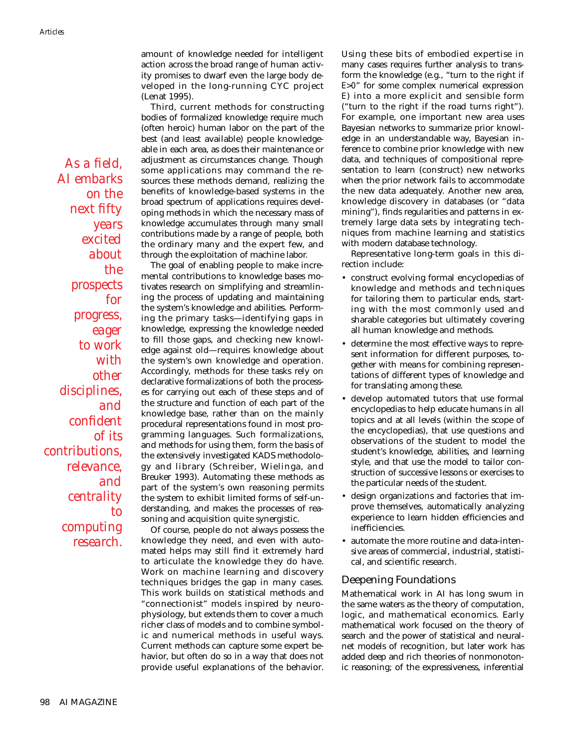*As a field, AI embarks on the next fifty years excited about the prospects for progress, eager to work with other disciplines, and confident of its contributions, relevance, and centrality to computing research.*

amount of knowledge needed for intelligent action across the broad range of human activity promises to dwarf even the large body developed in the long-running CYC project (Lenat 1995).

Third, current methods for constructing bodies of formalized knowledge require much (often heroic) human labor on the part of the best (and least available) people knowledgeable in each area, as does their maintenance or adjustment as circumstances change. Though some applications may command the resources these methods demand, realizing the benefits of knowledge-based systems in the broad spectrum of applications requires developing methods in which the necessary mass of knowledge accumulates through many small contributions made by a range of people, both the ordinary many and the expert few, and through the exploitation of machine labor.

The goal of enabling people to make incremental contributions to knowledge bases motivates research on simplifying and streamlining the process of updating and maintaining the system's knowledge and abilities. Performing the primary tasks—identifying gaps in knowledge, expressing the knowledge needed to fill those gaps, and checking new knowledge against old—requires knowledge about the system's own knowledge and operation. Accordingly, methods for these tasks rely on declarative formalizations of both the processes for carrying out each of these steps and of the structure and function of each part of the knowledge base, rather than on the mainly procedural representations found in most programming languages. Such formalizations, and methods for using them, form the basis of the extensively investigated KADS methodology and library (Schreiber, Wielinga, and Breuker 1993). Automating these methods as part of the system's own reasoning permits the system to exhibit limited forms of self-understanding, and makes the processes of reasoning and acquisition quite synergistic.

Of course, people do not always possess the knowledge they need, and even with automated helps may still find it extremely hard to articulate the knowledge they do have. Work on machine learning and discovery techniques bridges the gap in many cases. This work builds on statistical methods and "connectionist" models inspired by neurophysiology, but extends them to cover a much richer class of models and to combine symbolic and numerical methods in useful ways. Current methods can capture some expert behavior, but often do so in a way that does not provide useful explanations of the behavior.

Using these bits of embodied expertise in many cases requires further analysis to transform the knowledge (e.g., "turn to the right if *E>0*" for some complex numerical expression *E*) into a more explicit and sensible form ("turn to the right if the road turns right"). For example, one important new area uses Bayesian networks to summarize prior knowledge in an understandable way, Bayesian inference to combine prior knowledge with new data, and techniques of compositional representation to learn (construct) new networks when the prior network fails to accommodate the new data adequately. Another new area, knowledge discovery in databases (or "data mining"), finds regularities and patterns in extremely large data sets by integrating techniques from machine learning and statistics with modern database technology.

Representative long-term goals in this direction include:

- construct evolving formal encyclopedias of knowledge and methods and techniques for tailoring them to particular ends, starting with the most commonly used and sharable categories but ultimately covering all human knowledge and methods.
- determine the most effective ways to represent information for different purposes, together with means for combining representations of different types of knowledge and for translating among these.
- develop automated tutors that use formal encyclopedias to help educate humans in all topics and at all levels (within the scope of the encyclopedias), that use questions and observations of the student to model the student's knowledge, abilities, and learning style, and that use the model to tailor construction of successive lessons or exercises to the particular needs of the student.
- design organizations and factories that improve themselves, automatically analyzing experience to learn hidden efficiencies and inefficiencies.
- automate the more routine and data-intensive areas of commercial, industrial, statistical, and scientific research.

#### Deepening Foundations

Mathematical work in AI has long swum in the same waters as the theory of computation, logic, and mathematical economics. Early mathematical work focused on the theory of search and the power of statistical and neuralnet models of recognition, but later work has added deep and rich theories of nonmonotonic reasoning; of the expressiveness, inferential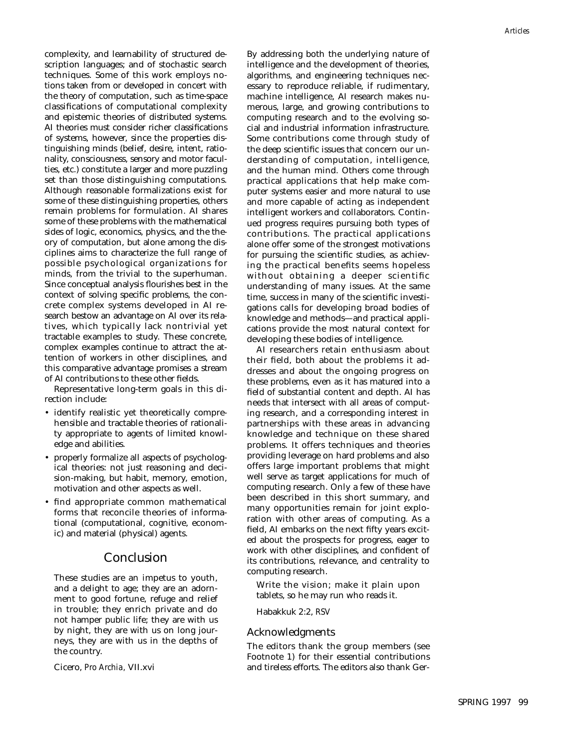complexity, and learnability of structured description languages; and of stochastic search techniques. Some of this work employs notions taken from or developed in concert with the theory of computation, such as time-space classifications of computational complexity and epistemic theories of distributed systems. AI theories must consider richer classifications of systems, however, since the properties distinguishing minds (belief, desire, intent, rationality, consciousness, sensory and motor faculties, etc.) constitute a larger and more puzzling set than those distinguishing computations. Although reasonable formalizations exist for some of these distinguishing properties, others remain problems for formulation. AI shares some of these problems with the mathematical sides of logic, economics, physics, and the theory of computation, but alone among the disciplines aims to characterize the full range of possible psychological organizations for minds, from the trivial to the superhuman. Since conceptual analysis flourishes best in the context of solving specific problems, the concrete complex systems developed in AI research bestow an advantage on AI over its relatives, which typically lack nontrivial yet tractable examples to study. These concrete, complex examples continue to attract the attention of workers in other disciplines, and this comparative advantage promises a stream of AI contributions to these other fields.

Representative long-term goals in this direction include:

- identify realistic yet theoretically comprehensible and tractable theories of rationality appropriate to agents of limited knowledge and abilities.
- properly formalize all aspects of psychological theories: not just reasoning and decision-making, but habit, memory, emotion, motivation and other aspects as well.
- find appropriate common mathematical forms that reconcile theories of informational (computational, cognitive, economic) and material (physical) agents.

### Conclusion

These studies are an impetus to youth, and a delight to age; they are an adornment to good fortune, refuge and relief in trouble; they enrich private and do not hamper public life; they are with us by night, they are with us on long journeys, they are with us in the depths of the country.

Cicero, *Pro Archia,* VII.xvi

By addressing both the underlying nature of intelligence and the development of theories, algorithms, and engineering techniques necessary to reproduce reliable, if rudimentary, machine intelligence, AI research makes numerous, large, and growing contributions to computing research and to the evolving social and industrial information infrastructure. Some contributions come through study of the deep scientific issues that concern our understanding of computation, intelligence, and the human mind. Others come through practical applications that help make computer systems easier and more natural to use and more capable of acting as independent intelligent workers and collaborators. Continued progress requires pursuing both types of contributions. The practical applications alone offer some of the strongest motivations for pursuing the scientific studies, as achieving the practical benefits seems hopeless without obtaining a deeper scientific understanding of many issues. At the same time, success in many of the scientific investigations calls for developing broad bodies of knowledge and methods—and practical applications provide the most natural context for developing these bodies of intelligence.

AI researchers retain enthusiasm about their field, both about the problems it addresses and about the ongoing progress on these problems, even as it has matured into a field of substantial content and depth. AI has needs that intersect with all areas of computing research, and a corresponding interest in partnerships with these areas in advancing knowledge and technique on these shared problems. It offers techniques and theories providing leverage on hard problems and also offers large important problems that might well serve as target applications for much of computing research. Only a few of these have been described in this short summary, and many opportunities remain for joint exploration with other areas of computing. As a field, AI embarks on the next fifty years excited about the prospects for progress, eager to work with other disciplines, and confident of its contributions, relevance, and centrality to computing research.

Write the vision; make it plain upon tablets, so he may run who reads it.

Habakkuk 2:2, *RSV*

#### Acknowledgments

The editors thank the group members (see Footnote 1) for their essential contributions and tireless efforts. The editors also thank Ger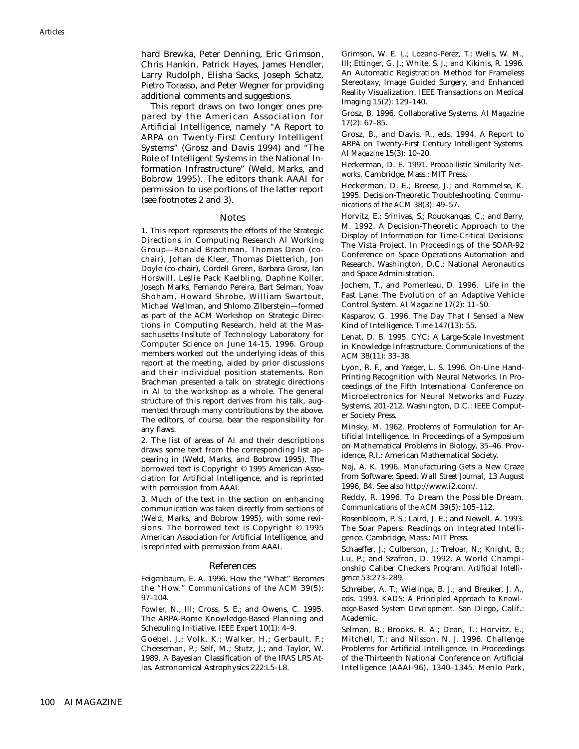hard Brewka, Peter Denning, Eric Grimson, Chris Hankin, Patrick Hayes, James Hendler, Larry Rudolph, Elisha Sacks, Joseph Schatz, Pietro Torasso, and Peter Wegner for providing additional comments and suggestions.

This report draws on two longer ones prepared by the American Association for Artificial Intelligence, namely "A Report to ARPA on Twenty-First Century Intelligent Systems" (Grosz and Davis 1994) and "The Role of Intelligent Systems in the National Information Infrastructure" (Weld, Marks, and Bobrow 1995). The editors thank AAAI for permission to use portions of the latter report (see footnotes 2 and 3).

#### Notes

1. This report represents the efforts of the Strategic Directions in Computing Research AI Working Group—Ronald Brachman, Thomas Dean (cochair), Johan de Kleer, Thomas Dietterich, Jon Doyle (co-chair), Cordell Green, Barbara Grosz, Ian Horswill, Leslie Pack Kaelbling, Daphne Koller, Joseph Marks, Fernando Pereira, Bart Selman, Yoav Shoham, Howard Shrobe, William Swartout, Michael Wellman, and Shlomo Zilberstein—formed as part of the ACM Workshop on Strategic Directions in Computing Research, held at the Massachusetts Insitute of Technology Laboratory for Computer Science on June 14-15, 1996. Group members worked out the underlying ideas of this report at the meeting, aided by prior discussions and their individual position statements. Ron Brachman presented a talk on strategic directions in AI to the workshop as a whole. The general structure of this report derives from his talk, augmented through many contributions by the above. The editors, of course, bear the responsibility for any flaws.

2. The list of areas of AI and their descriptions draws some text from the corresponding list appearing in (Weld, Marks, and Bobrow 1995). The borrowed text is Copyright © 1995 American Association for Artificial Intelligence, and is reprinted with permission from AAAI.

3. Much of the text in the section on enhancing communication was taken directly from sections of (Weld, Marks, and Bobrow 1995), with some revisions. The borrowed text is Copyright © 1995 American Association for Artificial Intelligence, and is reprinted with permission from AAAI.

#### References

Feigenbaum, E. A. 1996. How the "What" Becomes the "How." *Communications of the ACM* 39(5): 97–104.

Fowler, N., III; Cross, S. E.; and Owens, C. 1995. The ARPA-Rome Knowledge-Based Planning and Scheduling Initiative. *IEEE Expert* 10(1): 4–9.

Goebel, J.; Volk, K.; Walker, H.; Gerbault, F.; Cheeseman, P.; Self, M.; Stutz, J.; and Taylor, W. 1989. A Bayesian Classification of the IRAS LRS Atlas. Astronomical Astrophysics 222:L5–L8.

Grimson, W. E. L.; Lozano-Perez, T.; Wells, W. M., III; Ettinger, G. J.; White, S. J.; and Kikinis, R. 1996. An Automatic Registration Method for Frameless Stereotaxy, Image Guided Surgery, and Enhanced Reality Visualization. IEEE Transactions on Medical Imaging 15(2): 129–140.

Grosz, B. 1996. Collaborative Systems. *AI Magazine* 17(2): 67–85.

Grosz, B., and Davis, R., eds. 1994. A Report to ARPA on Twenty-First Century Intelligent Systems. *AI Magazine* 15(3): 10–20.

Heckerman, D. E. 1991. *Probabilistic Similarity Networks.* Cambridge, Mass.: MIT Press.

Heckerman, D. E.; Breese, J.; and Rommelse, K. 1995. Decision-Theoretic Troubleshooting. *Communications of the ACM* 38(3): 49–57.

Horvitz, E.; Srinivas, S.; Rouokangas, C.; and Barry, M. 1992. A Decision-Theoretic Approach to the Display of Information for Time-Critical Decisions: The Vista Project. In Proceedings of the SOAR-92 Conference on Space Operations Automation and Research. Washington, D.C.: National Aeronautics and Space Administration.

Jochem, T., and Pomerleau, D. 1996. Life in the Fast Lane: The Evolution of an Adaptive Vehicle Control System. *AI Magazine* 17(2): 11–50.

Kasparov, G. 1996. The Day That I Sensed a New Kind of Intelligence. *Time* 147(13): 55.

Lenat, D. B. 1995. CYC: A Large-Scale Investment in Knowledge Infrastructure. *Communications of the ACM* 38(11): 33–38.

Lyon, R. F., and Yaeger, L. S. 1996. On-Line Hand-Printing Recognition with Neural Networks. In Proceedings of the Fifth International Conference on Microelectronics for Neural Networks and Fuzzy Systems, 201-212. Washington, D.C.: IEEE Computer Society Press.

Minsky, M. 1962. Problems of Formulation for Artificial Intelligence. In Proceedings of a Symposium on Mathematical Problems in Biology, 35–46. Providence, R.I.: American Mathematical Society.

Naj, A. K. 1996. Manufacturing Gets a New Craze from Software: Speed. *Wall Street Journal,* 13 August 1996, B4. See also http://www.i2.com/.

Reddy, R. 1996. To Dream the Possible Dream. *Communications of the ACM* 39(5): 105–112.

Rosenbloom, P. S.; Laird, J. E.; and Newell, A. 1993. The Soar Papers: Readings on Integrated Intelligence. Cambridge, Mass.: MIT Press.

Schaeffer, J.; Culberson, J.; Treloar, N.; Knight, B.; Lu, P.; and Szafron, D. 1992. A World Championship Caliber Checkers Program. *Artificial Intelligence* 53:273–289.

Schreiber, A. T.; Wielinga, B. J.; and Breuker, J. A., eds. 1993. *KADS: A Principled Approach to Knowledge-Based System Development.* San Diego, Calif.: Academic.

Selman, B.; Brooks, R. A.; Dean, T.; Horvitz, E.; Mitchell, T.; and Nilsson, N. J. 1996. Challenge Problems for Artificial Intelligence. In Proceedings of the Thirteenth National Conference on Artificial Intelligence (AAAI-96), 1340–1345. Menlo Park,